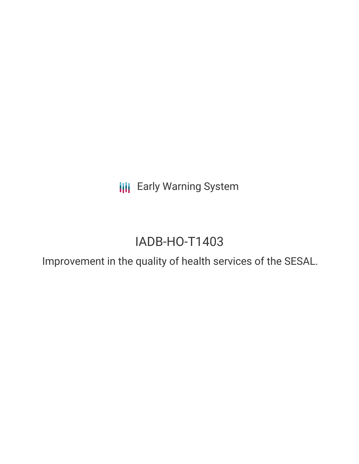**III** Early Warning System

# IADB-HO-T1403

Improvement in the quality of health services of the SESAL.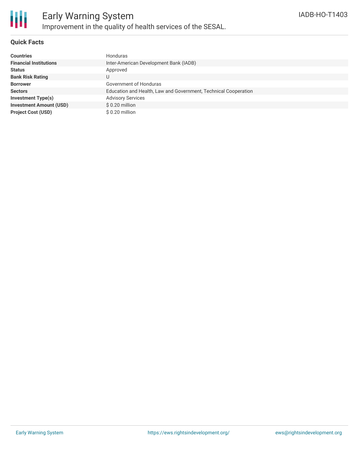

### **Quick Facts**

| <b>Countries</b>               | Honduras                                                        |
|--------------------------------|-----------------------------------------------------------------|
| <b>Financial Institutions</b>  | Inter-American Development Bank (IADB)                          |
| <b>Status</b>                  | Approved                                                        |
| <b>Bank Risk Rating</b>        | U                                                               |
| <b>Borrower</b>                | Government of Honduras                                          |
| <b>Sectors</b>                 | Education and Health, Law and Government, Technical Cooperation |
| <b>Investment Type(s)</b>      | <b>Advisory Services</b>                                        |
| <b>Investment Amount (USD)</b> | $$0.20$ million                                                 |
| <b>Project Cost (USD)</b>      | \$0.20 million                                                  |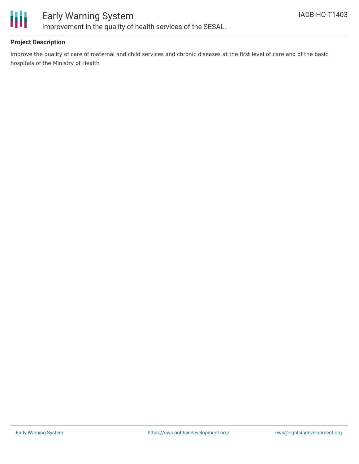

# Early Warning System Improvement in the quality of health services of the SESAL.

### **Project Description**

Improve the quality of care of maternal and child services and chronic diseases at the first level of care and of the basic hospitals of the Ministry of Health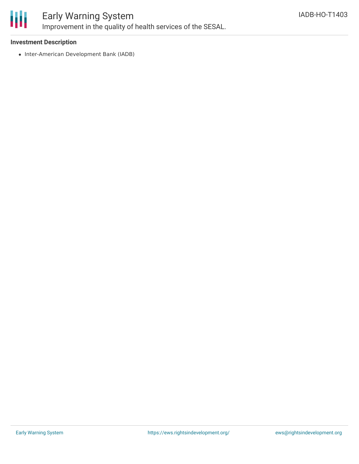

## Early Warning System Improvement in the quality of health services of the SESAL.

#### **Investment Description**

• Inter-American Development Bank (IADB)